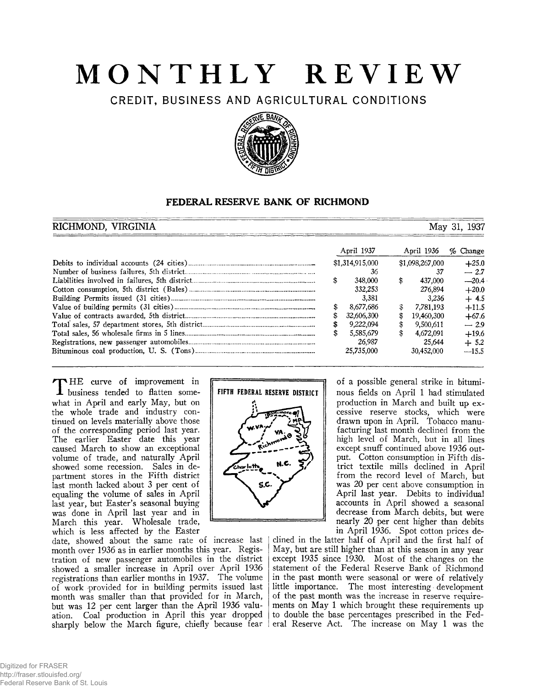# **MONTHLY REVIEW**

**CREDIT, BUSINESS AND AGRICULTURAL CONDITIONS**



# **FEDERAL RESERVE BANK OF RICHMOND**

# **RICHMOND, VIRGINIA** May 31, 1937 April 1937 April 1936 % **Change** Debits to individual accounts (24 cities)................................ \$1,314,915,000 \$1,098,267,000 +25.0 Number of business failures, 5th district.................................. 36 37 — 2.7 Liabilities involved in failures, 5th district............................... \$ 348,000 \$ 437,000 —20.4 Cotton consumption, 5th district (Bales)................................ 332,253 276,894 +20.0 Building Permits issued (31 cities)......................................... 3,381 3,236 + 4.5 Value of building permits (31 cities)....................................... \$ 8,677,686 \$ 7,781,193 +11.5 Value of contracts awarded, 5th district.................................. \$ 32,606,300 \$ 19,460,300 +67.6 Total sales, 57 department stores, 5th district.......................... \$ 9,222,094 \$ 9,500,611 — 2.9 Total sales, 56 wholesale firms in 5 lines.................................. \$ 5,585,679 \$ 4,672,091 +19.6 Registrations, new passenger automobiles................................ 26,987 25,644 + 5.2 Bituminous coal production, U. S. (Tons)............................. 25,735,000 30,452,000 —15.5

THE curve of improvement in **1** business tended to flatten somewhat in April and early May, but on the whole trade and industry continued on levels materially above those of the corresponding period last year. The earlier Easter date this year caused March to show an exceptional volume of trade, and naturally April showed some recession. Sales in department stores in the Fifth district last month lacked about 3 per cent of equaling the volume of sales in April last year, but Easter's seasonal buying was done in April last year and in March this year. Wholesale trade, which is less affected by the Easter

date, showed about the same rate of increase last month over 1936 as in earlier months this year. Registration of new passenger automobiles in the district showed a smaller increase in April over April 1936 registrations than earlier months in 1937. The volume of work provided for in building permits issued last month was smaller than that provided for in March, but was 12 per cent larger than the April 1936 valuation. Coal production in April this year dropped sharply below the March figure, chiefly because fear | eral Reserve Act. The increase on May 1 was the



of a possible general strike in bituminous fields on April 1 had stimulated production in March and built up excessive reserve stocks, which were drawn upon in April. Tobacco manufacturing last month declined from the high level of March, but in all lines except snuff continued above 1936 output. Cotton consumption in Fifth district textile mills declined in April from the record level of March, but was 20 per cent above consumption in April last year. Debits to individual accounts in April showed a seasonal decrease from March debits, but were nearly 20 per cent higher than debits in April 1936. Spot cotton prices de-

clined in the latter half of April and the first half of May, but are still higher than at this season in any year except 1935 since 1930. Most of the changes on the statement of the Federal Reserve Bank of Richmond in the past month were seasonal or were of relatively little importance. The most interesting development of the past month was the increase in reserve requirements on May 1 which brought these requirements up to double the base percentages prescribed in the Fed-

Digitized for FRASER http://fraser.stlouisfed.org/ Federal Reserve Bank of St. Louis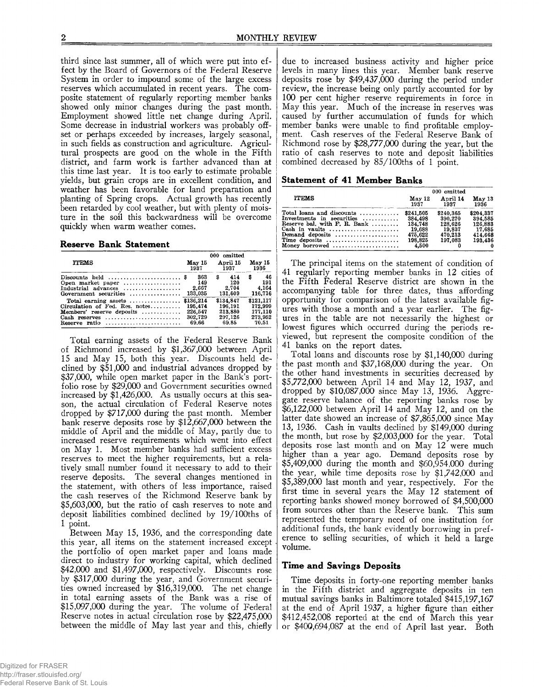third since last summer, all of which were put into effect by the Board of Governors of the Federal Reserve System in order to impound some of the large excess reserves which accumulated in recent years. The composite statement of regularly reporting member banks showed only minor changes during the past month. Employment showed little net change during April. Some decrease in industrial workers was probably offset or perhaps exceeded by increases, largely seasonal, in such fields as construction and agriculture. Agricultural prospects are good on the whole in the Fifth district, and farm work is farther advanced than at this time last year. It is too early to estimate probable yields, but grain crops are in excellent condition, and weather has been favorable for land preparation and planting of Spring crops. Actual growth has recently been retarded by cool weather, but with plenty of moisture in the soil this backwardness will be overcome quickly when warm weather comes.

#### **Reserve Bank Statement**

|                                                                                                                                                             | 000 omitted                            |                                                     |                                                     |  |  |
|-------------------------------------------------------------------------------------------------------------------------------------------------------------|----------------------------------------|-----------------------------------------------------|-----------------------------------------------------|--|--|
| <b>ITEMS</b>                                                                                                                                                | May 15<br>1937                         | April 15<br>1937                                    | May 15<br>1936                                      |  |  |
| Discounts held $\ldots, \ldots, \ldots, \ldots, \$<br>Open market paper<br>Industrial advances<br>Government securities $\dots\dots\dots\dots\dots$ 133,035 | 363<br>149<br>2.667                    | 414<br>S<br>120<br>2.704<br>131,609                 | 46<br>\$<br>191<br>4.164<br>116,716                 |  |  |
| Total earning assets $\ldots$ \$136.214<br>Circulation of Fed. Res. notes<br><b>Members'</b> reserve deposits $,,$<br>Cash reserves<br>Reserve ratio        | 195,474<br>226,547<br>302.729<br>69.66 | \$134,847<br>196.191<br>213.880<br>297.126<br>69.85 | \$121,117<br>172,999<br>177.110<br>273.952<br>70.51 |  |  |

Total earning assets of the Federal Reserve Bank of Richmond increased by \$1,367,000 between April 15 and May 15, both this year. Discounts held declined by \$51,000 and industrial advances dropped by \$37,000, while open market paper in the Bank's portfolio rose by \$29,000 and Government securities owned increased by \$1,426,000. As usually occurs at this season, the actual circulation of Federal Reserve notes dropped by \$717,000 during the past month. Member bank reserve deposits rose by \$12,667,000 between the middle of April and the middle of May, partly due to increased reserve requirements which went into effect on May 1. Most member banks had sufficient excess reserves to meet the higher requirements, but a relatively small number found it necessary to add to their reserve deposits. The several changes mentioned in the statement, with others of less importance, raised the cash reserves of the Richmond Reserve bank by \$5,603,000, but the ratio of cash reserves to note and deposit liabilities combined declined by 19/100ths of 1 point.

Between May 15, 1936, and the corresponding date this year, all items on the statement increased except the portfolio of open market paper and loans made direct to industry for working capital, which declined \$42,000 and \$1,497,000, respectively. Discounts rose by \$317,000 during the year, and Government securities owned increased by \$16,319,000. The net change in total earning assets of the Bank was a rise of \$15,097,000 during the year. The volume of Federal Reserve notes in actual circulation rose by \$22,475,000 between the middle of May last year and this, chiefly due to increased business activity and higher price levels in many lines this year. Member bank reserve deposits rose by \$49,437,000 during the period under review, the increase being only partly accounted for by 100 per cent higher reserve requirements in force in May this year. Much of the increase in reserves was caused by further accumulation of funds for which member banks were unable to find profitable employment. Cash reserves of the Federal Reserve Bank of Richmond rose by \$28,777,000 during the year, but the ratio of cash reserves to note and deposit liabilities combined decreased by 85/100ths of 1 point.

#### **Statement of 41 Member Banks**

|                                    | 000 omitted    |                  |                |  |
|------------------------------------|----------------|------------------|----------------|--|
| <b>ITEMS</b>                       | May 12<br>1937 | April 14<br>1937 | May 13<br>1936 |  |
| Total loans and discounts $\ldots$ | \$241.505      | \$240.365        | \$204,337      |  |
| Investments in securities          | 384.498        | 390,270          | 394,585        |  |
| Reserve bal. with $F$ . R. Bank    | 134,748        | 128.626          | 126,883        |  |
|                                    | 19.688         | 19.837           | 17.685         |  |
| Demand deposits                    | 475.622        | 470.213          | 414.668        |  |
| Time deposits                      | 198.825        | 197.083          | 193,436        |  |
| Money borrowed                     | 4.500          |                  |                |  |

The principal items on the statement of condition of 41 regularly reporting member banks in 12 cities of the Fifth Federal Reserve district are shown in the accompanying table for three dates, thus affording opportunity for comparison of the latest available figures with those a month and a year earlier. The figures in the table are not necessarily the highest or lowest figures which occurred during the periods reviewed, but represent the composite condition of the 41 banks on the report dates.

Total loans and discounts rose by \$1,140,000 during the past month and \$37,168,000 during the year. On the other hand investments in securities decreased by \$5,772,000 between April 14 and May 12, 1937, and dropped by \$10,087,000 since May 13, 1936. Aggregate reserve balance of the reporting banks rose by \$6,122,000 between April 14 and May 12, and on the latter date showed an increase of \$7,865,000 since May 13, 1936. Cash in vaults declined by \$149,000 during the month, but rose by \$2,003,000 for the year. Total deposits rose last month and on May 12 were much higher than a year ago. Demand deposits rose by \$5,409,000 during the month and \$60,954,000 during the year, while time deposits rose by \$1,742,000 and \$5,389,000 last month and year, respectively. For the first time in several years the May 12 statement of reporting banks showed money borrowed of \$4,500,000 from sources other than the Reserve bank. This sum represented the temporary need of one institution for additional funds, the bank evidently borrowing in preference to selling securities, of which it held a large volume.

# **Time and Savings Deposits**

Time deposits in forty-one reporting member banks in the Fifth district and aggregate deposits in ten mutual savings banks in Baltimore totaled \$415,197,167 at the end of April 1937, a higher figure than either \$412,452,008 reported at the end of March this year or \$400,694,087 at the end of April last year. Both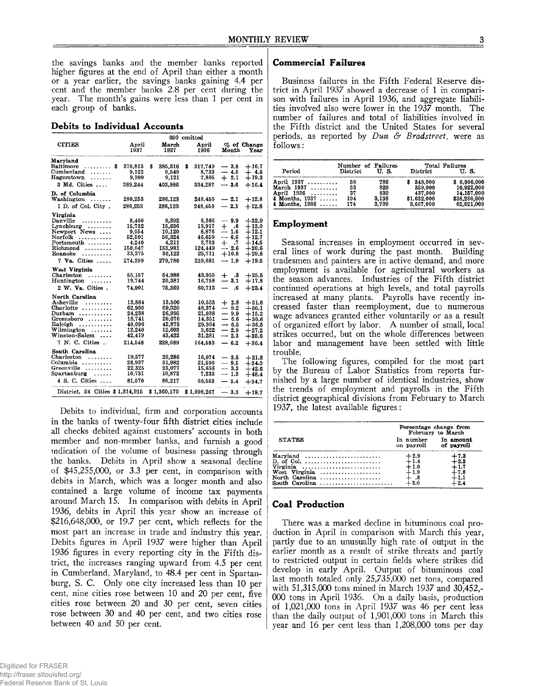the savings banks and the member banks reported higher figures at the end of April than either a month or a year earlier, the savings banks gaining 4.4 per cent and the member banks 2.8 per cent during the year. The month's gains were less than 1 per cent in each group of banks.

#### **Debits to Individual Accounts**

|                                                                                                                                                 |                                                                               | 000 omitted                                                                   |   |                                                                              |                                                                               |                                                                                      |
|-------------------------------------------------------------------------------------------------------------------------------------------------|-------------------------------------------------------------------------------|-------------------------------------------------------------------------------|---|------------------------------------------------------------------------------|-------------------------------------------------------------------------------|--------------------------------------------------------------------------------------|
| <b>CITIES</b>                                                                                                                                   | April<br>1937                                                                 | March<br>1937                                                                 |   | April<br>1936                                                                | Month                                                                         | % of Change<br>Year                                                                  |
| Maryland<br><b>Baltimore</b><br>S<br>.<br>Cumberland<br>.<br>$\rm\,H\rm\,a}$ recretown<br>.<br>3 Md. Cities                                     | 370,813<br>9,122<br>9.309<br>389.244                                          | \$<br>385,316<br>9.549<br>9,121<br>403.986                                    | 3 | 317,749<br>8.733<br>7.805<br>334,287                                         | $-3.8$<br>$-4.5$<br>$+2.1$<br>$-3.6$                                          | $+16.7$<br>$+4.5$<br>$+19.3$<br>$+16.4$                                              |
| D. of Columbia<br>Washington<br>.<br>1 D. of Col. City.                                                                                         | 280,253<br>280,253                                                            | 286.123<br>286,123                                                            |   | 248.450<br>248,450                                                           | $-2.1$<br>$-2.1$                                                              | $+12.8$<br>$+12.8$                                                                   |
| Virginia<br>Danville<br>.<br>Lynchburg<br>Newport News<br>Norfolk<br>.<br>Portsmouth<br>Richmond<br>Roanoke<br>.<br>$7$ Va. Cities              | 8.460<br>15.732<br>9,954<br>52.591<br>4.240<br>150,047<br>33,375<br>274.399   | 9.392<br>15.636<br>10,120<br>56,324<br>4,211<br>153,981<br>30.122<br>279,786  |   | 6.366<br>13.917<br>8,876<br>46.659<br>3,703<br>124,449<br>25,711<br>229,681  | — 9.9<br>$+$ .6<br>-- 1.6<br>$-6.6$<br>$+$ .7<br>$-2.6$<br>$+10.8$<br>$-1.9$  | $+32.9$<br>$+13.0$<br>$+12.1$<br>$+12.7$<br>$+14.5$<br>$+20.6$<br>$+29.8$<br>$+19.5$ |
| West Virginia<br>Charleston<br>.<br>Huntington<br>.<br>2 W. Va. Cities.                                                                         | 55.157<br>19,744<br>74.901                                                    | 54.988<br>20,381<br>75,369                                                    |   | 43.955<br>16,758<br>60,713                                                   | $^{+}$<br>. 3<br>$-3.1$<br>—<br>.6                                            | $+25.5$<br>$+17.8$<br>$+23.4$                                                        |
| North Carolina<br>Asheville<br>.<br>Charlotte<br>Durham<br>Greensboro<br>Raleigh<br>Wilmington<br>Winston-Salem<br>$\cdots$<br>7 N. C. Cities . | 13,884<br>62,930<br>24,238<br>18.741<br>40.096<br>12,240<br>42.419<br>214.548 | 13,500<br>69,320<br>26.895<br>20.076<br>42.873<br>12,603<br>43.422<br>228.689 |   | 10,553<br>48,374<br>21.038<br>14.351<br>29.364<br>9.622<br>31.281<br>164,583 | $+2.8$<br>$-9.2$<br>$-9.9$<br>$-6.6$<br>--- 6.5<br>$-2.9$<br>$-2.3$<br>$-6.2$ | $+31.6$<br>$+30.1$<br>$+15.2$<br>$+30.6$<br>$+36.5$<br>$+27.2$<br>$+35.6$<br>$+30.4$ |
| South Carolina<br>Charleston<br>.<br>Columbia<br>Greenville<br>Spartanburg<br>.<br>4 S. C. Cities<br>District, 24 Cities \$1,314,915            | 19,577<br>28,937<br>22,325<br>10.731<br>81,570                                | 20,286<br>31,982<br>23,077<br>10,872<br>86,217<br>\$1,360,170                 |   | 16,074<br>21,590<br>15,656<br>7.233<br>60.553<br>\$1,098,267                 | $-3.5$<br>$-9.5$<br>$-3.3$<br>$-1.3$<br>$-5.4$<br>$-3.3$                      | $+21.8$<br>$+34.0$<br>$+42.6$<br>$+48.4$<br>$+34.7$<br>$+19.7$                       |
|                                                                                                                                                 |                                                                               |                                                                               |   |                                                                              |                                                                               |                                                                                      |

Debits to individual, firm and corporation accounts in the banks of twenty-four fifth district cities include all checks debited against customers' accounts in both member and non-member banks, and furnish a good indication of the volume of business passing through the banks. Debits in April show a seasonal decline of \$45,255,000, or 3.3 per cent, in comparison with debits in March, which was a longer month and also contained a large volume of income tax payments around March 15. In comparison with debits in April 1936, debits in April this year show an increase of \$216,648,000, or 19.7 per cent, which reflects for the most part an increase in trade and industry this year. Debits figures in April 1937 were higher than April 1936 figures in every reporting city in the Fifth district, the increases ranging upward from 4.5 per cent in Cumberland, Maryland, to 48.4 per cent in Spartanburg, S. C. Only one city increased less than 10 per cent, nine cities rose between 10 and 20 per cent, five cities rose between 20 and 30 per cent, seven cities rose between 30 and 40 per cent, and two cities rose between 40 and 50 per cent.

# **Commercial Failures**

Business failures in the Fifth Federal Reserve district in April 1937 showed a decrease of 1 in comparison with failures in April 1936, and aggregate liabilities involved also were lower in the 1937 month. The number of failures and total of liabilities involved in the Fifth district and the United States for several periods, as reported by *Dun & Bradstreet,* were as follows:

|                  | Number of Failures |       |             | Total Failures |
|------------------|--------------------|-------|-------------|----------------|
| Period           | District           | U.S.  | District    | U.S.           |
| April 1937       | 36                 | 786   | 348.000     | \$8,906,000    |
| March $1937$     | 53                 | 820   | 359,000     | 10.922.000     |
| April 1936       | 37                 | 830   | 437.000     | 14,157,000     |
| 4 Months, $1937$ | 194                | 3.138 | \$1,632,000 | \$38,260,000   |
| 4 Months, $1936$ | 174                | 3.709 | 3.667.000   | 62.621.000     |

#### **Employment**

Seasonal increases in employment occurred in several lines of work during the past month. Building tradesmen and painters are in active demand, and more employment is available for agricultural workers as the season advances. Industries of the Fifth district continued operations at high levels, and total payrolls increased at many plants. Payrolls have recently increased faster than reemployment, due to numerous wage advances granted either voluntarily or as a result of organized effort by labor. A number of small, local strikes occurred, but on the whole differences between labor and management have been settled with little trouble.

The following figures, compiled for the most part by the Bureau of Labor Statistics from reports furnished by a large number of identical industries, show the trends of employment and payrolls in the Fifth district geographical divisions from February to March 1937, the latest available figures:

|                | Percentage change from<br>February to March |                         |  |  |
|----------------|---------------------------------------------|-------------------------|--|--|
| <b>STATES</b>  | In number<br>on payroll                     | In amount<br>of payroll |  |  |
| Maryland       | $+2.9$                                      | ⊢7.3                    |  |  |
| $D.$ of Col.   | $+1.4$                                      | ∔2.3                    |  |  |
| Virginia       | $+1.0$                                      | - 1.7                   |  |  |
| West Virginia  | $-1.9$                                      | -7.8                    |  |  |
| North Carolina |                                             | - 1.1                   |  |  |
| South Carolina | $-3.0$                                      | - 2.4                   |  |  |

## **Coal Production**

There was a marked decline in bituminous coal production in April in comparison with March this year, partly due to an unusually high rate of output in the earlier month as a result of strike threats and partly to restricted output in certain fields where strikes did develop in early April. Output of bituminous coal last month totaled only 25,735,000 net tons, compared with 51,315,000 tons mined in March 1937 and 30,452,- 000 tons in April 1936. On a daily basis, production of 1,021,000 tons in April 1937 was 46 per cent less than the daily output of 1,901,000 tons in March this year and 16 per cent less than 1,208,000 tons per day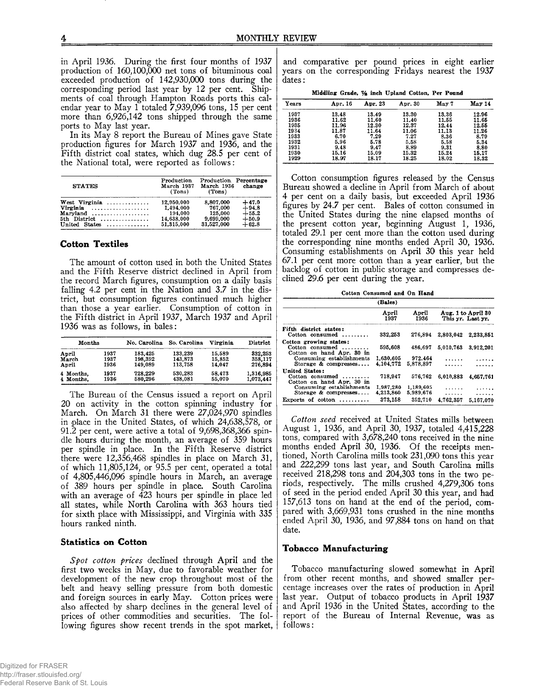in April 1936. During the first four months of 1937 production of 160,100,000 net tons of bituminous coal exceeded production of 142,930,000 tons during the corresponding period last year by 12 per cent. Shipments of coal through Hampton Roads ports this calendar year to May 1 totaled 7,939,096 tons, 15 per cent more than 6,926,142 tons shipped through the same ports to May last year.

In its May 8 report the Bureau of Mines gave State production figures for March 1937 and 1936, and the Fifth district coal states, which dug 28.5 per cent of the National total, were reported as follows:

| <b>STATES</b>                               | Production<br>March 1937<br>(Tons) | Production Percentage<br>March 1936<br>(Tons) | change  |
|---------------------------------------------|------------------------------------|-----------------------------------------------|---------|
| West Virginia $\ldots \ldots \ldots \ldots$ | 12,950,000                         | 8.807.000                                     | $+47.0$ |
| Virginia                                    | 1.494.000                          | 767.000                                       | $+94.8$ |
| $Marvland \ldots \ldots \ldots \ldots$      | 194.000                            | 125,000                                       | $+55.2$ |
| 5th District                                | 14,638,000                         | 9,699,000                                     | $+50.9$ |
| United States                               | 51,315,000                         | 31,527,000                                    | $+62.8$ |

## **Cotton Textiles**

The amount of cotton used in both the United States and the Fifth Reserve district declined in April from the record March figures, consumption on a daily basis falling 4.2 per cent in the Nation and 3.7 in the district, but consumption figures continued much higher than those a year earlier. Consumption of cotton in the Fifth district in April 1937, March 1937 and April 1936 was as follows, in bales:

| Months    |      | No. Carolina | So. Carolina | Virginia | District  |
|-----------|------|--------------|--------------|----------|-----------|
| April     | 1937 | 183,425      | 133,239      | 15.589   | 332,253   |
| March     | 1937 | 198,392      | 143.873      | 15.852   | 358,117   |
| April     | 1936 | 149.089      | 113.758      | 14.047   | 276.894   |
| 4 Months, | 1937 | 728.229      | 530,283      | 58.473   | 1,316,985 |
| 4 Months. | 1936 | 580.296      | 438.081      | 55.070   | 1,073,447 |

The Bureau of the Census issued a report on April 20 on activity in the cotton spinning industry for March. On March 31 there were 27,024,970 spindles in place in the United States, of which 24,638,578, or 91.2 per cent, were active a total of 9,698,368,366 spindle hours during the month, an average of 359 hours per spindle in place. In the Fifth Reserve district there were 12,356,468 spindles in place on March 31, of which 11,805,124, or 95.5 per cent, operated a total of 4,805,446,096 spindle hours in March, an average of 389 hours per spindle in place. South Carolina with an average of 423 hours per spindle in place led all states, while North Carolina with 363 hours tied for sixth place with Mississippi, and Virginia with 335 hours ranked ninth.

## **Statistics on Cotton**

*Spot cotton prices* declined through April and the first two weeks in May, due to favorable weather for development of the new crop throughout most of the belt and heavy selling pressure from both domestic and foreign sources in early May. Cotton prices were also affected by sharp declines in the general level of prices of other commodities and securities. The following figures show recent trends in the spot market,

and comparative per pound prices in eight earlier years on the corresponding Fridays nearest the 1937 dates:

**Middling Grade, % inch Upland Cotton, Per Pound**

| Years | Apr. 16 | Apr. 23 | Apr. 30 | $\textbf{M}$ av 7 | May 14 |
|-------|---------|---------|---------|-------------------|--------|
| 1937  | 13.48   | 13.49   | 13.30   | 13.36             | 12.96  |
| 1936  | 11.62   | 11.60   | 11.40   | 11.55             | 11.65  |
| 1935  | 11.96   | 12.30   | 12.37   | 12.44             | 12.55  |
| 1934  | 11.87   | 11.64   | 11.06   | 11.13             | 11.26  |
| 1933  | 6.70    | 7.29    | 7.27    | 8.36              | 8.79   |
| 1932  | 5.96    | 5.78    | 5.58    | 5.58              | 5.34   |
| 1931  | 9.48    | 9.47    | 8.89    | 9.31              | 8.80   |
| 1930  | 15.16   | 15.09   | 15.32   | 15.24             | 15.17  |
| 1929  | 18.97   | 18.17   | 18.25   | 18.02             | 18.32  |

Cotton consumption figures released by the Census Bureau showed a decline in April from March of about 4 per cent on a daily basis, but exceeded April 1936 figures by 24.7 per cent. Bales of cotton consumed in the United States during the nine elapsed months of the present cotton year, beginning August 1, 1936, totaled 29.1 per cent more than the cotton used during the corresponding nine months ended April 30, 1936. Consuming establishments on April 30 this year held 67.1 per cent more cotton than a year earlier, but the backlog of cotton in public storage and compresses declined 29.6 per cent during the year.

**Cotton Consumed and On Hand**

|                                                                                 | (Bales)                |                        |           |                                         |
|---------------------------------------------------------------------------------|------------------------|------------------------|-----------|-----------------------------------------|
|                                                                                 | April<br>1937          | April<br>1936          |           | Aug. 1 to April 30<br>This yr. Last yr. |
| Fifth district states:<br>Cotton consumed $\ldots \ldots$                       | 332.253                | 276.894                | 2,803,042 | 2.233.851                               |
| Cotton growing states:<br>Cotton consumed $\ldots$<br>Cotton on hand Apr. 30 in | 595,608                | 486,697                | 5.010.763 | 3.912.201                               |
| Consuming establishments<br>Storage $\&$ compresses                             | 1,630,605<br>4.104.772 | 972.464<br>5.878.897   | .         |                                         |
| <b>United States:</b><br>Cotton consumed $\ldots$<br>Cotton on hand Apr. 30 in  | 718,947                | 576.762                | 6.010.883 | 4.657.761                               |
| Consuming establishments<br>Storage & compresses                                | 1.987.280<br>4.213.860 | 1,189,605<br>5.989.676 | .<br>.    | .                                       |
| Exports of cotton $\dots\dots\dots$                                             | 373.158                | 352.710                | 4.762.357 | 5.167.070                               |

*Cotton seed* received at United States mills between August 1, 1936, and April 30, 1937, totaled 4,415,228 tons, compared with 3,678,240 tons received in the nine months ended April 30, 1936. Of the receipts mentioned, North Carolina mills took 231,090 tons this year and 222,299 tons last year, and South Carolina mills received 218,298 tons and 204,303 tons in the two periods, respectively. The mills crushed 4,279,306 tons of seed in the period ended April 30 this year, and had 157,613 tons on hand at the end of the period, compared with 3,669,931 tons crushed in the nine months ended April 30, 1936, and 97,884 tons on hand on that date.

# **Tobacco Manufacturing**

Tobacco manufacturing slowed somewhat in April from other recent months, and showed smaller percentage increases over the rates of production in April last year. Output of tobacco products in April 1937 and April 1936 in the United States, according to the report of the Bureau of Internal Revenue, was as follows: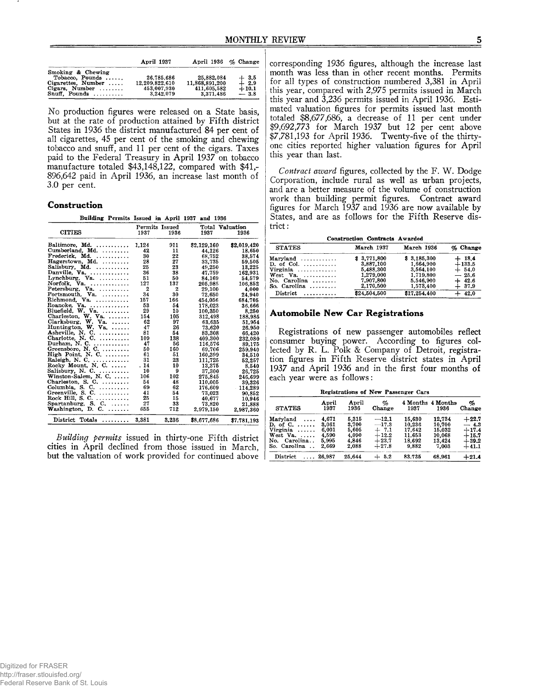|                                                                                                                  | April 1937                                               | April 1936 % Change                                      |                                       |
|------------------------------------------------------------------------------------------------------------------|----------------------------------------------------------|----------------------------------------------------------|---------------------------------------|
| Smoking & Chewing<br>Tobacco, Pounds<br>$Cigareites. Number \dots$<br>Cigars, Number $\ldots$<br>$Snuff.$ Pounds | 26,785,686<br>12.209.822.610<br>453,007,930<br>3.242.079 | 25,882,084<br>11.868.891.200<br>411.605.582<br>3.371.486 | $+3.5$<br>$+2.9$<br>$+10.1$<br>$-3.8$ |

No production figures were released on a State basis, but at the rate of production attained by Fifth district States in 1936 the district manufactured 84 per cent of all cigarettes, 45 per cent of the smoking and chewing tobacco and snuff, and 11 per cent of the cigars. Taxes paid to the Federal Treasury in April 1937 on tobacco manufacture totaled \$43,148,122, compared with \$41,- 896,642 paid in April 1936, an increase last month of 3.0 per cent.

#### **Construction**

**\_\_\_\_\_\_\_\_\_\_ Building Peirmits Issued ini April 1937 and 1936**

|                                        | Permits Issued |              |             | Total Valuation |  |
|----------------------------------------|----------------|--------------|-------------|-----------------|--|
| <b>CITIES</b>                          | 1937           | 1936         | 1937        | 1936            |  |
| Baltimore, Md.                         | 1.124          | 911          | \$2,129,160 | \$2,019,420     |  |
| Cumberland, Md.                        | 42             | 11           | 44,126      | 18.650          |  |
| Frederick. Md.                         | 30             | 22           | 68.752      | 38.574          |  |
| Hagerstown, Md.                        | 28             | 27           | 33,735      | 59.505          |  |
| Salisbury, Md.                         | 25             | 23           | 49.250      | 13,225          |  |
| Danville. Va.                          | 36             | 38           | 47.759      | 162,931         |  |
| Lynchburg, $Va.$                       | 51             | 50           | 84.169      | 54,579          |  |
| Norfolk, Va.                           | 127            | 137          | 205.985     | 106.852         |  |
| Petersburg, Va. $,,$                   | 2              | $\mathbf{2}$ | 29,100      | 4.000           |  |
| Portsmouth, $Va.$                      | 34             | 30           | 72,650      | 24.940          |  |
| Richmond, Va.                          | 157            | 166          | 454,056     | 684.705         |  |
| Roanoke, Va.                           | 53             | 54           | 178,023     | 36.666          |  |
| Bluefield, $W.$ Va. $\ldots$ ,         | 29             | 10           | 100,350     | 8.250           |  |
| Charleston, W. Va.                     | 154            | 105          | 312,498     | 188,985         |  |
| Clarksburg, W.<br>$\mathbf{Va.} \dots$ | 62             | 97           | 63,635      | 51.954          |  |
| Huntington, $W$ , $Va$ , $\ldots$ ,    | 47             | 26           | 73.620      | 26.950          |  |
| Asheville, N. C.                       | 81             | 54           | 83.308      | 66.420          |  |
| Charlotte, N. C.                       | 109            | 138          | 409,300     | 232,080         |  |
| Durham, N. C.                          | 47             | 56           | 116.576     | 89,175          |  |
| Greensboro, N. C.                      | 50             | 160          | 69,706      | 259,940         |  |
| High Point, N. C.                      | 61             | 51           | 160.399     | 34,510          |  |
| Raleigh, N. C.                         | 31             | 23           | 111,725     | 52,257          |  |
| Rocky Mount, N. C.                     | . 14           | 10           | 13,375      | 8.540           |  |
| Salisbury, N. C.                       | 10             | 9            | 37,300      | 26,725          |  |
| Winston-Salem, N. C.                   | 106            | 102          | 275,845     | 246.699         |  |
| Charleston, S. C. $\dots\dots$         | 54             | 48           | 110,005     | 39.326          |  |
| Columbia, S. C. $\dots \dots$          | 69             | 62           | 176.609     | 114.289         |  |
| $Greenville, S. C. \ldots \ldots$      | 41             | 54           | 73.023      | 90.852          |  |
| Rock Hill, S. C.                       | 25             | 15           | 40,677      | 10,946          |  |
| Spartanburg, S. C. $\ldots$ .          | 27             | 33           | 73,820      | 21.888          |  |
| Washington, D. C.                      | 655            | 712          | 2.979.150   | 2,987,360       |  |
| District Totals<br>.                   | 3.381          | 3,236        | \$8,677,686 | \$7,781,193     |  |

*Building permits* issued in thirty-one Fifth district cities in April declined from those issued in March, but the valuation of work provided for continued above corresponding 1936 figures, although the increase last month was less than in other recent months. Permits for all types of construction numbered 3,381 in April this year, compared with 2,975 permits issued in March this year and 3,236 permits issued in April 1936. Estimated valuation figures for permits issued last month totaled  $$8,677,686$ , a decrease of 11 per cent under \$9,692,773 for March 1937 but 12 per cent above \$7,781,193 for April 1936. Twenty-five of the thirtyone cities reported higher valuation figures for April this year than last.

*Contract award* figures, collected by the F. W. Dodge Corporation, include rural as well as urban projects, and are a better measure of the volume of construction work than building permit figures. Contract award figures for March 1937 and 1936 are now available by States, and are as follows for the Fifth Reserve district :

| <b>Construction Contracts Awarded</b> |              |              |          |  |  |
|---------------------------------------|--------------|--------------|----------|--|--|
| <b>STATES</b>                         | March 1937   | March 1936   | % Change |  |  |
| $Marvland \ldots \ldots \ldots$       | \$3,771,800  | \$3.185.300  | $+18.4$  |  |  |
| $D.$ of Col. $\ldots$                 | 3,887,100    | 1.664.900    | $+133.5$ |  |  |
| $Vireinia \dots \dots \dots \dots$    | 5.488.300    | 3.564.100    | $+54.0$  |  |  |
| West Va. $\ldots$ ,                   | 1.279.000    | 1.719.800    | $-25.6$  |  |  |
| No. Carolina $\ldots$                 | 7.907.800    | 5.546.900    | $+42.6$  |  |  |
| So. Carolina $\ldots \ldots$          | 2,170,500    | 1.573.400    | $+37.9$  |  |  |
| $Distribt \ldots \ldots \ldots$       | \$24,504,500 | \$17,254,400 | $+42.0$  |  |  |

# **Automobile New Car Registrations**

Registrations of new passenger automobiles reflect consumer buying power. According to figures collected by R. L. Polk & Company of Detroit, registration figures in Fifth Reserve district states in April 1937 and April 1936 and in the first four months of each year were as follows:

| Registrations of New Passenger Cars |                 |               |             |        |                           |             |
|-------------------------------------|-----------------|---------------|-------------|--------|---------------------------|-------------|
| <b>STATES</b>                       | April<br>1937   | April<br>1936 | %<br>Change | 1937   | 4 Months 4 Months<br>1936 | %<br>Change |
| Maryland<br>$\cdots$                | 4.671           | 5.315         | $-12.1$     | 15.630 | 12,734                    | $+22.7$     |
| D. of C. $\ldots$ .                 | 3,061           | 3.700         | $-17.3$     | 10.236 | 10.700                    | $-4.3$      |
| Virginia                            | 6.001           | 5.605         | $+7.1$      | 17.642 | 15,032                    | $+17.4$     |
| West $Va. \ldots$ .                 | 4.590           | 4.090         | $+12.2$     | 11.653 | 10.068                    | $+15.7$     |
| No. Carolina                        | 5.995           | 4.846         | $+23.7$     | 18.692 | 13.424                    | $+39.2$     |
| So. Carolina                        | 2.669           | 2.088         | $+27.8$     | 9.882  | 7.003                     | $+41.1$     |
| <b>District</b>                     | $\ldots$ 26.987 | 25.644        | $+5.2$      | 83,735 | 68.961                    | $+21.4$     |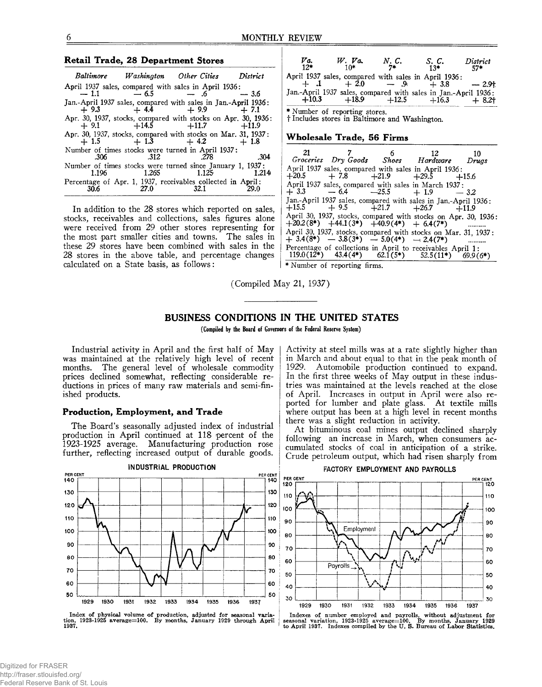| <b>Retail Trade, 28 Department Stores</b>                                                                                                                                                                                                                                                                                                                                                                                                                                          | Va.<br>$W.$ Va. N.C.<br>District<br>S. C.<br>$12*$<br>7*<br>$10*$<br>57*<br>$13*$                                                                                                                                                                                                                                                                                                                                                                                                                                                                                                                                   |
|------------------------------------------------------------------------------------------------------------------------------------------------------------------------------------------------------------------------------------------------------------------------------------------------------------------------------------------------------------------------------------------------------------------------------------------------------------------------------------|---------------------------------------------------------------------------------------------------------------------------------------------------------------------------------------------------------------------------------------------------------------------------------------------------------------------------------------------------------------------------------------------------------------------------------------------------------------------------------------------------------------------------------------------------------------------------------------------------------------------|
| Washington Other Cities<br><b>Baltimore</b><br>District<br>April 1937 sales, compared with sales in April 1936:<br>$-6.5$<br>$-1.1$<br>$-.6$<br>$-3.6$<br>Jan.-April 1937 sales, compared with sales in Jan.-April 1936:<br>$+9.9$<br>$+9.3$<br>$+4.4$<br>$+7.1$<br>Apr. 30, 1937, stocks, compared with stocks on Apr. 30, 1936:<br>$+11.7$<br>$+14.5$<br>$+9.1$<br>$+11.9$<br>Apr. 30, 1937, stocks, compared with stocks on Mar. 31, 1937:<br>$+1.3$ $+4.2$<br>$+1.5$<br>$+1.8$ | April 1937 sales, compared with sales in April 1936:<br>$+2.0$<br>$-9$<br>$-2.9+$<br>$+1$<br>$+3.8$<br>Jan.-April 1937 sales, compared with sales in Jan.-April 1936:<br>$+10.3$<br>$+18.9$<br>$+12.5$<br>$+8.2$ †<br>$+16.3$<br>* Number of reporting stores.<br>† Includes stores in Baltimore and Washington.<br>Wholesale Trade, 56 Firms                                                                                                                                                                                                                                                                       |
| Number of times stocks were turned in April 1937:<br>.304<br>.278<br>.312<br>.306<br>Number of times stocks were turned since January 1, 1937:<br>1.265<br>1.125<br>1.196<br>1.214<br>Percentage of Apr. 1, 1937, receivables collected in April:<br><b>29.0</b><br>27.0<br>32.1<br>30.6                                                                                                                                                                                           | 21<br>6.<br>- 12<br>10<br>Groceries Dry Goods Shoes Hardware<br>Drugs<br>April 1937 sales, compared with sales in April 1936:<br>$+20.5$<br>$+21.9$<br>$+7.8$<br>$+29.5$<br>$+15.6$<br>April 1937 sales, compared with sales in March 1937:<br>$-25.5$<br>$+3.3$<br>$-6.4$<br>$+1.9$<br>$-3.2$<br>$\mathcal{A}$ and $\mathcal{A}$ and $\mathcal{A}$ and $\mathcal{A}$ and $\mathcal{A}$ and $\mathcal{A}$ and $\mathcal{A}$ and $\mathcal{A}$ and $\mathcal{A}$ and $\mathcal{A}$ and $\mathcal{A}$ and $\mathcal{A}$ and $\mathcal{A}$ and $\mathcal{A}$ and $\mathcal{A}$ and $\mathcal{A}$ and $\mathcal{A}$ and |

In addition to the 28 stores which reported on sales, stocks, receivables and collections, sales figures alone were received from 29 other stores representing for the most part smaller cities and towns. The sales in these 29 stores have been combined with sales in the 28 stores in the above table, and percentage changes calculated on a State basis, as follows:

| 21      |                                                                                                                           | $\sim$ 6 | $\overline{12}$ | 10      |
|---------|---------------------------------------------------------------------------------------------------------------------------|----------|-----------------|---------|
|         | Groceries Dry Goods Shoes Hardware                                                                                        |          |                 | Drugs   |
| $+20.5$ | April 1937 sales, compared with sales in April 1936:<br>$+7.8$ $+21.9$ $+29.5$                                            |          |                 | $+15.6$ |
|         | April 1937 sales, compared with sales in March 1937:<br>$+3.3 -6.4 -25.5 +1.9$                                            |          |                 | $-3.2$  |
|         | Jan.-April 1937 sales, compared with sales in Jan.-April 1936:<br>$+15.5$ $+9.5$ $+21.7$ $+26.7$ $+11.9$                  |          |                 |         |
|         | April 30, 1937, stocks, compared with stocks on Apr. 30, 1936:<br>$+20.2(8^*)$ $+44.1(3^*)$ $+40.9(4^*)$ $+6.4(7^*)$      |          |                 |         |
|         | April 30, 1937, stocks, compared with stocks on Mar. 31, 1937:<br>$+3.4(8^*)$ $-3.8(3^*)$ $-5.0(4^*)$ $-2.4(7^*)$         |          |                 |         |
|         | Percentage of collections in April to receivables April 1:<br>119.0(1 $\tilde{2}$ *) 43.4(4*) 62.1(5*) 52.5(11*) 69.9(6*) |          |                 |         |

\* Number of reporting firms.

(Compiled May 21, 1937)

# **BUSINESS CONDITIONS IN THE UNITED STATES**

(Compiled by the Board of Governors of the Federal Reserve System)

Industrial activity in April and the first half of May was maintained at the relatively high level of recent months. The general level of wholesale commodity prices declined somewhat, reflecting considerable reductions in prices of many raw materials and semi-finished products.

## **Production, Employment, and Trade**

The Board's seasonally adjusted index of industrial production in April continued at 118 percent of the 1923-1925 average. Manufacturing production rose further, reflecting increased output of durable goods.

**IND USTRIAL PRODUCTION** PER CENT PER CENT  $^{140}$ 130 130 120 120 110 110 100 100 90 90 80 80 70 70 60 60 50 50 **1929 1930 1931 1932 1933 1934 1935 1936 193?**

**Index of physical volume of production, adjusted for seasonal varia-tion, 1923-1925 average=100. By months, January 1929 through April 1937.**

Activity at steel mills was at a rate slightly higher than in March and about equal to that in the peak month of 1929. Automobile production continued to expand. In the first three weeks of May output in these industries was maintained at the levels reached at the close of April. Increases in output in April were also reported for lumber and plate glass. At textile mills where output has been at a high level in recent months there was a slight reduction in activity.

At bituminous coal mines output declined sharply following an increase in March, when consumers accumulated stocks of coal in anticipation of a strike. Crude petroleum output, which had risen sharply from



**Indexes of number employed and payrolls, without adjustment for seasonal variation, 1923-1925 average—100. By months, January 1929 to April 1937. Indexes compiled by the U. S. Bureau of Labor Statistics.**